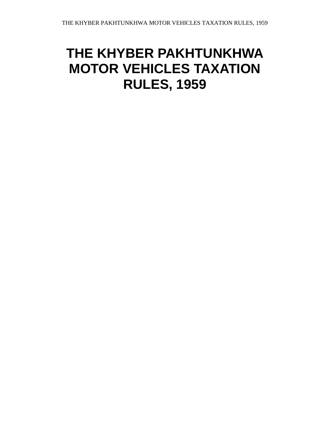## **THE KHYBER PAKHTUNKHWA MOTOR VEHICLES TAXATION RULES, 1959**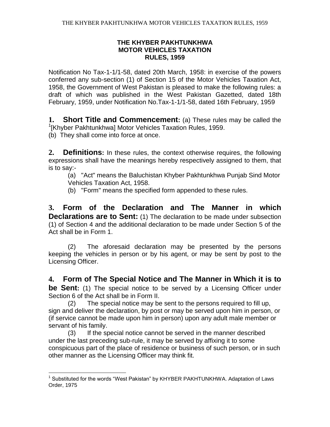## **THE KHYBER PAKHTUNKHWA MOTOR VEHICLES TAXATION RULES, 1959**

Notification No Tax-1-1/1-58, dated 20th March, 1958: in exercise of the powers conferred any sub-section (1) of Section 15 of the Motor Vehicles Taxation Act, 1958, the Government of West Pakistan is pleased to make the following rules: a draft of which was published in the West Pakistan Gazetted, dated 18th February, 1959, under Notification No.Tax-1-1/1-58, dated 16th February, 1959

**1. Short Title and Commencement:** (a) These rules may be called the <sup>1</sup>[Khyber Pakhtunkhwa] Motor Vehicles Taxation Rules, 1959.

(b) They shall come into force at once.

 $\overline{a}$ 

**2. Definitions:** In these rules, the context otherwise requires, the following expressions shall have the meanings hereby respectively assigned to them, that is to say:-

(a) "Act" means the Baluchistan Khyber Pakhtunkhwa Punjab Sind Motor Vehicles Taxation Act, 1958.

(b) "Form" means the specified form appended to these rules.

**3. Form of the Declaration and The Manner in which Declarations are to Sent:** (1) The declaration to be made under subsection (1) of Section 4 and the additional declaration to be made under Section 5 of the Act shall be in Form 1.

(2) The aforesaid declaration may be presented by the persons keeping the vehicles in person or by his agent, or may be sent by post to the Licensing Officer.

**4. Form of The Special Notice and The Manner in Which it is to be Sent:** (1) The special notice to be served by a Licensing Officer under Section 6 of the Act shall be in Form II.

(2) The special notice may be sent to the persons required to fill up, sign and deliver the declaration, by post or may be served upon him in person, or (if service cannot be made upon him in person) upon any adult male member or servant of his family.

(3) If the special notice cannot be served in the manner described under the last preceding sub-rule, it may be served by affixing it to some conspicuous part of the place of residence or business of such person, or in such other manner as the Licensing Officer may think fit.

<sup>&</sup>lt;sup>1</sup> Substituted for the words "West Pakistan" by KHYBER PAKHTUNKHWA. Adaptation of Laws Order, 1975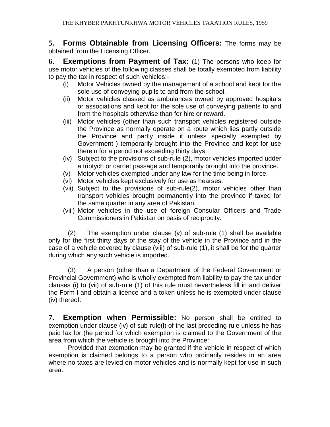**5. Forms Obtainable from Licensing Officers:** The forms may be obtained from the Licensing Officer.

**6. Exemptions from Payment of Tax:** (1) The persons who keep for use motor vehicles of the following classes shall be totally exempted from liability to pay the tax in respect of such vehicles:-

- (i) Motor Vehicles owned by the management of a school and kept for the sole use of conveying pupils to and from the school.
- (ii) Motor vehicles classed as ambulances owned by approved hospitals or associations and kept for the sole use of conveying patients to and from the hospitals otherwise than for hire or reward.
- (iii) Motor vehicles (other than such transport vehicles registered outside the Province as normally operate on a route which lies partly outside the Province and partly inside it unless specially exempted by Government ) temporarily brought into the Province and kept for use therein for a period not exceeding thirty days.
- (iv) Subject to the provisions of sub-rule (2), motor vehicles imported udder a triptych or carnet passage and temporarily brought into the province.
- (v) Motor vehicles exempted under any law for the time being in force.
- (vi) Motor vehicles kept exclusively for use as hearses.
- (vii) Subject to the provisions of sub-rule(2), motor vehicles other than transport vehicles brought permanently into the province if taxed for the same quarter in any area of Pakistan.
- (viii) Motor vehicles in the use of foreign Consular Officers and Trade Commissioners in Pakistan on basis of reciprocity.

(2) The exemption under clause (v) of sub-rule (1) shall be available only for the first thirty days of the stay of the vehicle in the Province and in the case of a vehicle covered by clause (viii) of sub-rule (1), it shall be for the quarter during which any such vehicle is imported.

(3) A person (other than a Department of the Federal Government or Provincial Government) who is wholly exempted from liability to pay the tax under clauses (i) to (vii) of sub-rule (1) of this rule must nevertheless fill in and deliver the Form I and obtain a licence and a token unless he is exempted under clause (iv) thereof.

**7. Exemption when Permissible:** No person shall be entitled to exemption under clause (iv) of sub-rule(l) of the last preceding rule unless he has paid lax for (he period for which exemption is claimed to the Government of the area from which the vehicle is brought into the Province:

Provided that exemption may be granted if the vehicle in respect of which exemption is claimed belongs to a person who ordinarily resides in an area where no taxes are levied on motor vehicles and is normally kept for use in such area.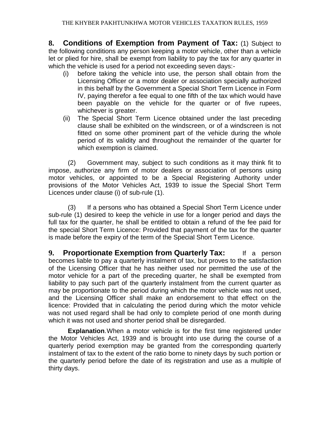**8. Conditions of Exemption from Payment of Tax:** (1) Subject to the following conditions any person keeping a motor vehicle, other than a vehicle let or plied for hire, shall be exempt from liability to pay the tax for any quarter in which the vehicle is used for a period not exceeding seven days:-

- (i) before taking the vehicle into use, the person shall obtain from the Licensing Officer or a motor dealer or association specially authorized in this behalf by the Government a Special Short Term Licence in Form IV, paying therefor a fee equal to one fifth of the tax which would have been payable on the vehicle for the quarter or of five rupees, whichever is greater.
- (ii) The Special Short Term Licence obtained under the last preceding clause shall be exhibited on the windscreen, or of a windscreen is not fitted on some other prominent part of the vehicle during the whole period of its validity and throughout the remainder of the quarter for which exemption is claimed.

(2) Government may, subject to such conditions as it may think fit to impose, authorize any firm of motor dealers or association of persons using motor vehicles, or appointed to be a Special Registering Authority under provisions of the Motor Vehicles Act, 1939 to issue the Special Short Term Licences under clause (i) of sub-rule (1).

(3) If a persons who has obtained a Special Short Term Licence under sub-rule (1) desired to keep the vehicle in use for a longer period and days the full tax for the quarter, he shall be entitled to obtain a refund of the fee paid for the special Short Term Licence: Provided that payment of the tax for the quarter is made before the expiry of the term of the Special Short Term Licence.

**9. Proportionate Exemption from Quarterly Tax:** If a person becomes liable to pay a quarterly instalment of tax, but proves to the satisfaction of the Licensing Officer that he has neither used nor permitted the use of the motor vehicle for a part of the preceding quarter, he shall be exempted from liability to pay such part of the quarterly instalment from the current quarter as may be proportionate to the period during which the motor vehicle was not used, and the Licensing Officer shall make an endorsement to that effect on the licence: Provided that in calculating the period during which the motor vehicle was not used regard shall be had only to complete period of one month during which it was not used and shorter period shall be disregarded.

**Explanation**.When a motor vehicle is for the first time registered under the Motor Vehicles Act, 1939 and is brought into use during the course of a quarterly period exemption may be granted from the corresponding quarterly instalment of tax to the extent of the ratio borne to ninety days by such portion or the quarterly period before the date of its registration and use as a multiple of thirty days.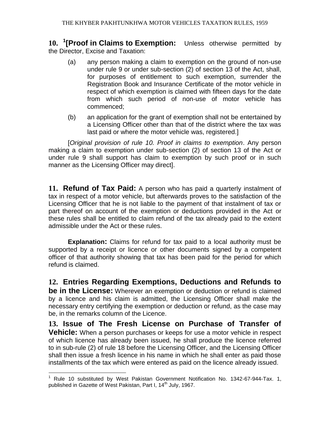**10. <sup>1</sup> [Proof in Claims to Exemption:** Unless otherwise permitted by the Director, Excise and Taxation:

- (a) any person making a claim to exemption on the ground of non-use under rule 9 or under sub-section (2) of section 13 of the Act, shall, for purposes of entitlement to such exemption, surrender the Registration Book and Insurance Certificate of the motor vehicle in respect of which exemption is claimed with fifteen days for the date from which such period of non-use of motor vehicle has commenced;
- (b) an application for the grant of exemption shall not be entertained by a Licensing Officer other than that of the district where the tax was last paid or where the motor vehicle was, registered.]

[*Original provision of rule 10. Proof in claims to exemption*. Any person making a claim to exemption under sub-section (2) of section 13 of the Act or under rule 9 shall support has claim to exemption by such proof or in such manner as the Licensing Officer may direct].

**11. Refund of Tax Paid:** A person who has paid a quarterly instalment of tax in respect of a motor vehicle, but afterwards proves to the satisfaction of the Licensing Officer that he is not liable to the payment of that instalment of tax or part thereof on account of the exemption or deductions provided in the Act or these rules shall be entitled to claim refund of the tax already paid to the extent admissible under the Act or these rules.

**Explanation:** Claims for refund for tax paid to a local authority must be supported by a receipt or licence or other documents signed by a competent officer of that authority showing that tax has been paid for the period for which refund is claimed.

**12. Entries Regarding Exemptions, Deductions and Refunds to be in the License:** Wherever an exemption or deduction or refund is claimed by a licence and his claim is admitted, the Licensing Officer shall make the necessary entry certifying the exemption or deduction or refund, as the case may be, in the remarks column of the Licence.

**13. Issue of The Fresh License on Purchase of Transfer of Vehicle:** When a person purchases or keeps for use a motor vehicle in respect of which licence has already been issued, he shall produce the licence referred to in sub-rule (2) of rule 18 before the Licensing Officer, and the Licensing Officer shall then issue a fresh licence in his name in which he shall enter as paid those installments of the tax which were entered as paid on the licence already issued.

 $\overline{a}$ 

Rule 10 substituted by West Pakistan Government Notification No. 1342-67-944-Tax. 1, published in Gazette of West Pakistan, Part I, 14<sup>th</sup> July, 1967.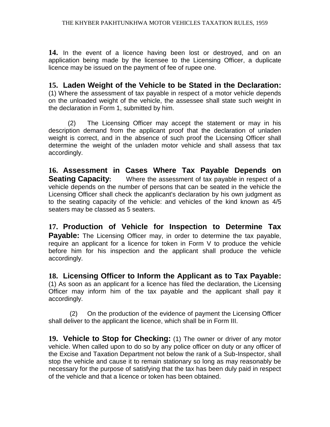**14.** In the event of a licence having been lost or destroyed, and on an application being made by the licensee to the Licensing Officer, a duplicate licence may be issued on the payment of fee of rupee one.

## **15. Laden Weight of the Vehicle to be Stated in the Declaration:**

(1) Where the assessment of tax payable in respect of a motor vehicle depends on the unloaded weight of the vehicle, the assessee shall state such weight in the declaration in Form 1, submitted by him.

(2) The Licensing Officer may accept the statement or may in his description demand from the applicant proof that the declaration of unladen weight is correct, and in the absence of such proof the Licensing Officer shall determine the weight of the unladen motor vehicle and shall assess that tax accordingly.

**16. Assessment in Cases Where Tax Payable Depends on Seating Capacity:** Where the assessment of tax payable in respect of a vehicle depends on the number of persons that can be seated in the vehicle the Licensing Officer shall check the applicant's declaration by his own judgment as to the seating capacity of the vehicle: and vehicles of the kind known as 4/5 seaters may be classed as 5 seaters.

**17. Production of Vehicle for Inspection to Determine Tax Payable:** The Licensing Officer may, in order to determine the tax payable, require an applicant for a licence for token in Form V to produce the vehicle before him for his inspection and the applicant shall produce the vehicle accordingly.

**18. Licensing Officer to Inform the Applicant as to Tax Payable:** (1) As soon as an applicant for a licence has filed the declaration, the Licensing Officer may inform him of the tax payable and the applicant shall pay it accordingly.

(2) On the production of the evidence of payment the Licensing Officer shall deliver to the applicant the licence, which shall be in Form III.

**19. Vehicle to Stop for Checking:** (1) The owner or driver of any motor vehicle. When called upon to do so by any police officer on duty or any officer of the Excise and Taxation Department not below the rank of a Sub-Inspector, shall stop the vehicle and cause it to remain stationary so long as may reasonably be necessary for the purpose of satisfying that the tax has been duly paid in respect of the vehicle and that a licence or token has been obtained.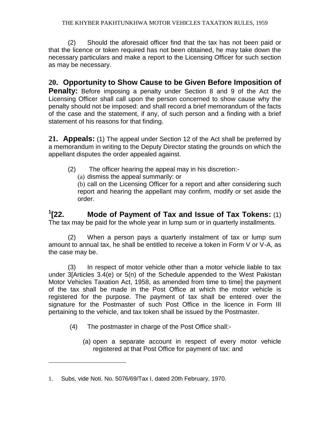(2) Should the aforesaid officer find that the tax has not been paid or that the licence or token required has not been obtained, he may take down the necessary particulars and make a report to the Licensing Officer for such section as may be necessary.

## **20. Opportunity to Show Cause to be Given Before Imposition of**

**Penalty:** Before imposing a penalty under Section 8 and 9 of the Act the Licensing Officer shall call upon the person concerned to show cause why the penalty should not be imposed: and shall record a brief memorandum of the facts of the case and the statement, if any, of such person and a finding with a brief statement of his reasons for that finding.

**21. Appeals:** (1) The appeal under Section 12 of the Act shall be preferred by a memorandum in writing to the Deputy Director stating the grounds on which the appellant disputes the order appealed against.

- (2) The officer hearing the appeal may in his discretion:-
	- (a) dismiss the appeal summarily: or

(b) call on the Licensing Officer for a report and after considering such report and hearing the appellant may confirm, modify or set aside the order.

 $1$ <sup>1</sup> $22$ . **[22. Mode of Payment of Tax and Issue of Tax Tokens:** (1) The tax may be paid for the whole year in lump sum or in quarterly installments.

(2) When a person pays a quarterly instalment of tax or lump sum amount to annual tax, he shall be entitled to receive a token in Form V or V-A, as the case may be.

(3) In respect of motor vehicle other than a motor vehicle liable to tax under 3[Articles 3.4(e) or 5(n) of the Schedule appended to the West Pakistan Motor Vehicles Taxation Act, 1958, as amended from time to time] the payment of the tax shall be made in the Post Office at which the motor vehicle is registered for the purpose. The payment of tax shall be entered over the signature for the Postmaster of such Post Office in the licence in Form III pertaining to the vehicle, and tax token shall be issued by the Postmaster.

- (4) The postmaster in charge of the Post Office shall:-
	- (a) open a separate account in respect of every motor vehicle registered at that Post Office for payment of tax: and

 $\overline{a}$ 

<sup>1.</sup> Subs, vide Noti. No. 5076/69/Tax I, dated 20th February, 1970.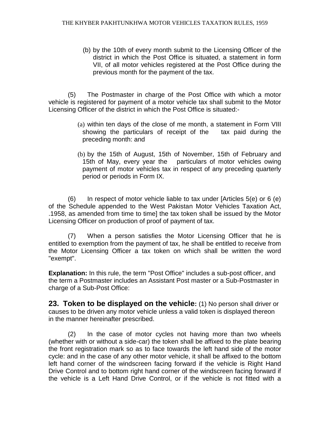(b) by the 10th of every month submit to the Licensing Officer of the district in which the Post Office is situated, a statement in form VII, of all motor vehicles registered at the Post Office during the previous month for the payment of the tax.

(5) The Postmaster in charge of the Post Office with which a motor vehicle is registered for payment of a motor vehicle tax shall submit to the Motor Licensing Officer of the district in which the Post Office is situated:-

- (a) within ten days of the close of me month, a statement in Form VIII showing the particulars of receipt of the tax paid during the preceding month: and
- (b) by the 15th of August, 15th of November, 15th of February and 15th of May, every year the particulars of motor vehicles owing payment of motor vehicles tax in respect of any preceding quarterly period or periods in Form IX.

 $(6)$  In respect of motor vehicle liable to tax under [Articles  $5(e)$  or 6  $(e)$ ] of the Schedule appended to the West Pakistan Motor Vehicles Taxation Act, .1958, as amended from time to time] the tax token shall be issued by the Motor Licensing Officer on production of proof of payment of tax.

(7) When a person satisfies the Motor Licensing Officer that he is entitled to exemption from the payment of tax, he shall be entitled to receive from the Motor Licensing Officer a tax token on which shall be written the word "exempt".

**Explanation:** In this rule, the term "Post Office" includes a sub-post officer, and the term a Postmaster includes an Assistant Post master or a Sub-Postmaster in charge of a Sub-Post Office:

**23. Token to be displayed on the vehicle:** (1) No person shall driver or causes to be driven any motor vehicle unless a valid token is displayed thereon in the manner hereinafter prescribed.

(2) In the case of motor cycles not having more than two wheels (whether with or without a side-car) the token shall be affixed to the plate bearing the front registration mark so as to face towards the left hand side of the motor cycle: and in the case of any other motor vehicle, it shall be affixed to the bottom left hand corner of the windscreen facing forward if the vehicle is Right Hand Drive Control and to bottom right hand corner of the windscreen facing forward if the vehicle is a Left Hand Drive Control, or if the vehicle is not fitted with a